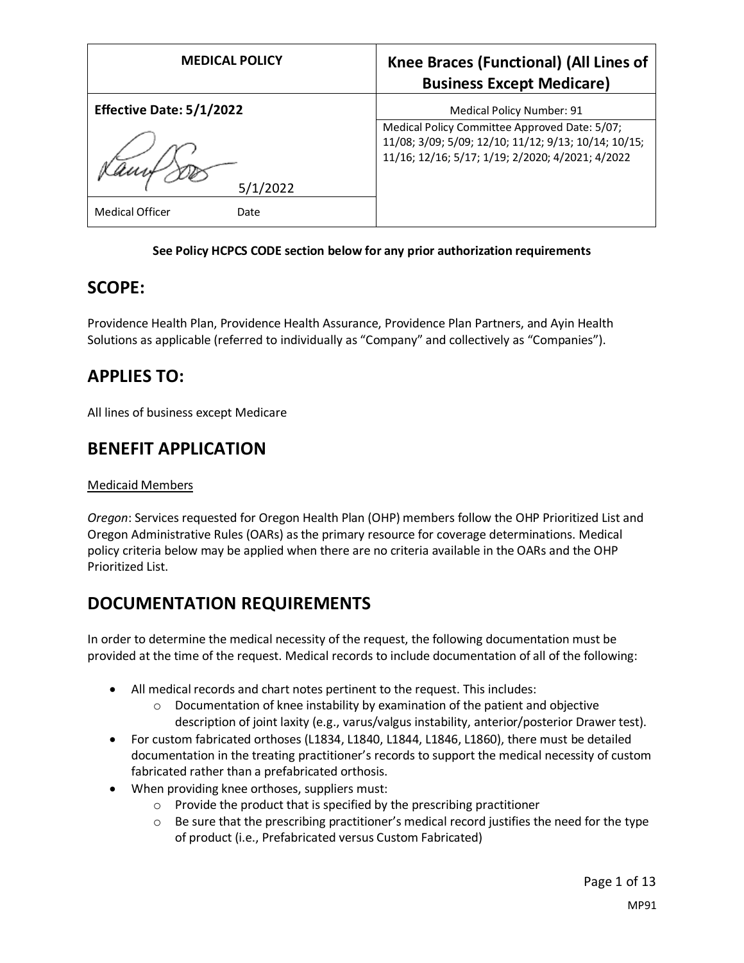| <b>MEDICAL POLICY</b>           | Knee Braces (Functional) (All Lines of<br><b>Business Except Medicare)</b>                                                                                |
|---------------------------------|-----------------------------------------------------------------------------------------------------------------------------------------------------------|
| <b>Effective Date: 5/1/2022</b> | Medical Policy Number: 91                                                                                                                                 |
| 2022                            | Medical Policy Committee Approved Date: 5/07;<br>11/08; 3/09; 5/09; 12/10; 11/12; 9/13; 10/14; 10/15;<br>11/16; 12/16; 5/17; 1/19; 2/2020; 4/2021; 4/2022 |
| <b>Medical Officer</b><br>Date  |                                                                                                                                                           |

#### **See Policy HCPCS CODE section below for any prior authorization requirements**

## **SCOPE:**

Providence Health Plan, Providence Health Assurance, Providence Plan Partners, and Ayin Health Solutions as applicable (referred to individually as "Company" and collectively as "Companies").

## **APPLIES TO:**

All lines of business except Medicare

## **BENEFIT APPLICATION**

#### Medicaid Members

*Oregon*: Services requested for Oregon Health Plan (OHP) members follow the OHP Prioritized List and Oregon Administrative Rules (OARs) as the primary resource for coverage determinations. Medical policy criteria below may be applied when there are no criteria available in the OARs and the OHP Prioritized List.

## **DOCUMENTATION REQUIREMENTS**

In order to determine the medical necessity of the request, the following documentation must be provided at the time of the request. Medical records to include documentation of all of the following:

- All medical records and chart notes pertinent to the request. This includes:
	- $\circ$  Documentation of knee instability by examination of the patient and objective description of joint laxity (e.g., varus/valgus instability, anterior/posterior Drawer test).
- For custom fabricated orthoses (L1834, L1840, L1844, L1846, L1860), there must be detailed documentation in the treating practitioner's records to support the medical necessity of custom fabricated rather than a prefabricated orthosis.
- When providing knee orthoses, suppliers must:
	- $\circ$  Provide the product that is specified by the prescribing practitioner
	- $\circ$  Be sure that the prescribing practitioner's medical record justifies the need for the type of product (i.e., Prefabricated versus Custom Fabricated)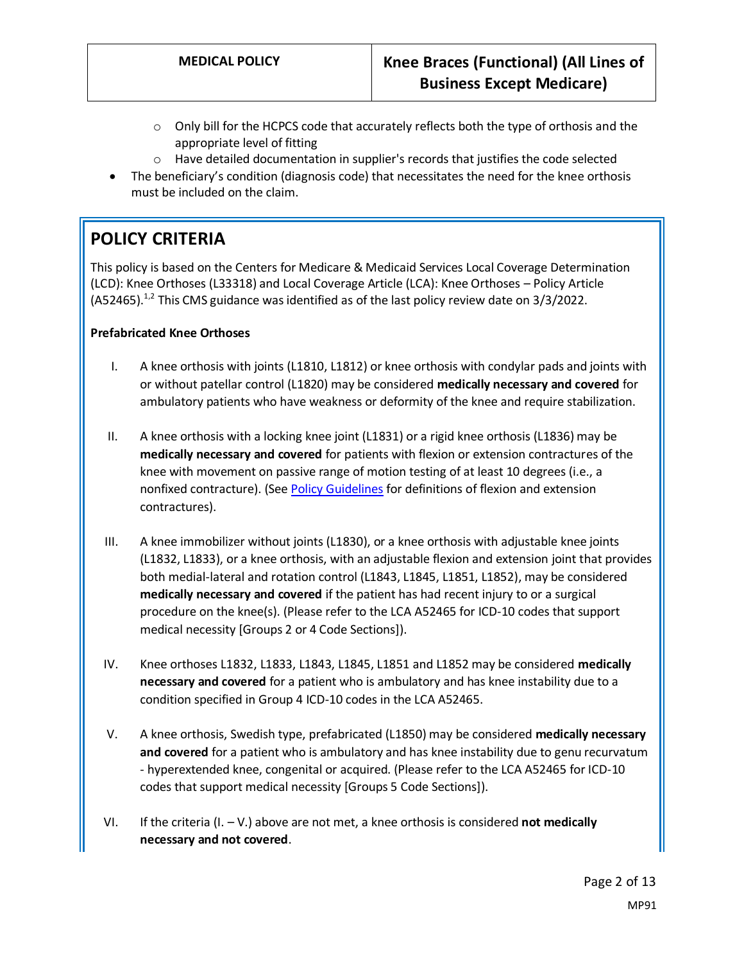- $\circ$  Only bill for the HCPCS code that accurately reflects both the type of orthosis and the appropriate level of fitting
- o Have detailed documentation in supplier's records that justifies the code selected
- The beneficiary's condition (diagnosis code) that necessitates the need for the knee orthosis must be included on the claim.

# **POLICY CRITERIA**

This policy is based on the Centers for Medicare & Medicaid Services Local Coverage Determination (LCD): Knee Orthoses (L33318) and Local Coverage Article (LCA): Knee Orthoses – Policy Article  $($ A52465 $)$ .<sup>1,2</sup> This CMS guidance was identified as of the last policy review date on 3/3/2022.

#### **Prefabricated Knee Orthoses**

- I. A knee orthosis with joints (L1810, L1812) or knee orthosis with condylar pads and joints with or without patellar control (L1820) may be considered **medically necessary and covered** for ambulatory patients who have weakness or deformity of the knee and require stabilization.
- II. A knee orthosis with a locking knee joint (L1831) or a rigid knee orthosis (L1836) may be **medically necessary and covered** for patients with flexion or extension contractures of the knee with movement on passive range of motion testing of at least 10 degrees (i.e., a nonfixed contracture). (See [Policy Guidelines](#page-4-0) for definitions of flexion and extension contractures).
- III. A knee immobilizer without joints (L1830), or a knee orthosis with adjustable knee joints (L1832, L1833), or a knee orthosis, with an adjustable flexion and extension joint that provides both medial-lateral and rotation control (L1843, L1845, L1851, L1852), may be considered **medically necessary and covered** if the patient has had recent injury to or a surgical procedure on the knee(s). (Please refer to the LCA A52465 for ICD-10 codes that support medical necessity [Groups 2 or 4 Code Sections]).
- IV. Knee orthoses L1832, L1833, L1843, L1845, L1851 and L1852 may be considered **medically necessary and covered** for a patient who is ambulatory and has knee instability due to a condition specified in Group 4 ICD-10 codes in the LCA A52465.
- V. A knee orthosis, Swedish type, prefabricated (L1850) may be considered **medically necessary and covered** for a patient who is ambulatory and has knee instability due to genu recurvatum - hyperextended knee, congenital or acquired. (Please refer to the LCA A52465 for ICD-10 codes that support medical necessity [Groups 5 Code Sections]).
- VI. If the criteria  $(I. V.)$  above are not met, a knee orthosis is considered **not medically necessary and not covered**.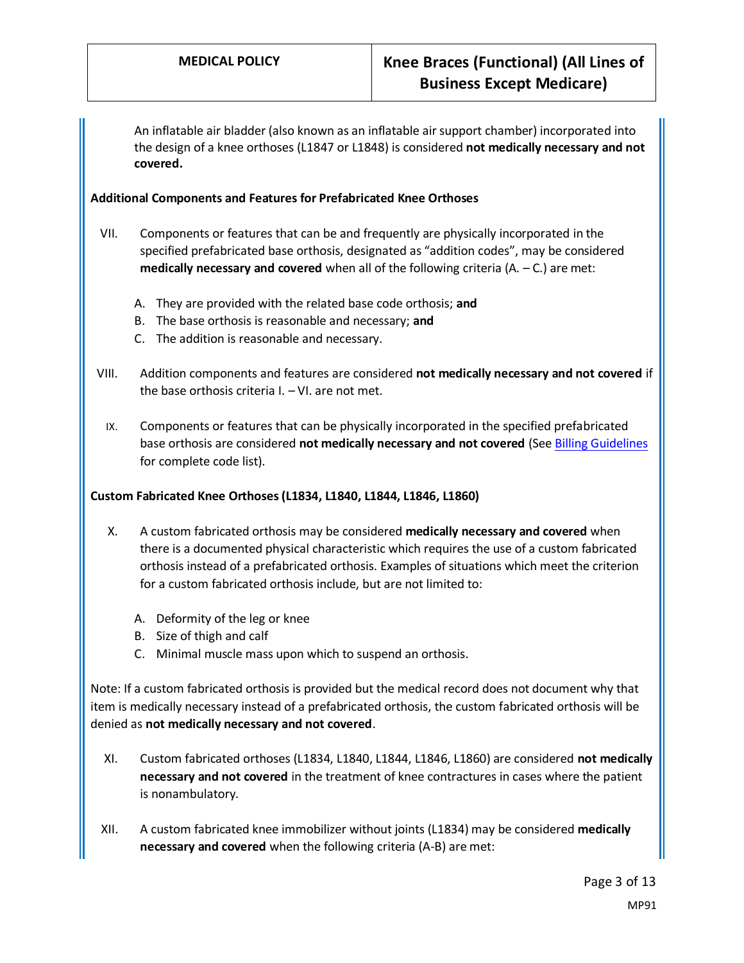An inflatable air bladder (also known as an inflatable air support chamber) incorporated into the design of a knee orthoses (L1847 or L1848) is considered **not medically necessary and not covered.**

#### **Additional Components and Features for Prefabricated Knee Orthoses**

- VII. Components or features that can be and frequently are physically incorporated in the specified prefabricated base orthosis, designated as "addition codes", may be considered **medically necessary and covered** when all of the following criteria  $(A - C)$  are met:
	- A. They are provided with the related base code orthosis; **and**
	- B. The base orthosis is reasonable and necessary; **and**
	- C. The addition is reasonable and necessary.
- VIII. Addition components and features are considered **not medically necessary and not covered** if the base orthosis criteria I. – VI. are not met.
	- IX. Components or features that can be physically incorporated in the specified prefabricated base orthosis are considered **not medically necessary and not covered** (Se[e Billing Guidelines](#page-7-0) for complete code list).

#### **Custom Fabricated Knee Orthoses (L1834, L1840, L1844, L1846, L1860)**

- X. A custom fabricated orthosis may be considered **medically necessary and covered** when there is a documented physical characteristic which requires the use of a custom fabricated orthosis instead of a prefabricated orthosis. Examples of situations which meet the criterion for a custom fabricated orthosis include, but are not limited to:
	- A. Deformity of the leg or knee
	- B. Size of thigh and calf
	- C. Minimal muscle mass upon which to suspend an orthosis.

Note: If a custom fabricated orthosis is provided but the medical record does not document why that item is medically necessary instead of a prefabricated orthosis, the custom fabricated orthosis will be denied as **not medically necessary and not covered**.

- XI. Custom fabricated orthoses (L1834, L1840, L1844, L1846, L1860) are considered **not medically necessary and not covered** in the treatment of knee contractures in cases where the patient is nonambulatory.
- XII. A custom fabricated knee immobilizer without joints (L1834) may be considered **medically necessary and covered** when the following criteria (A-B) are met: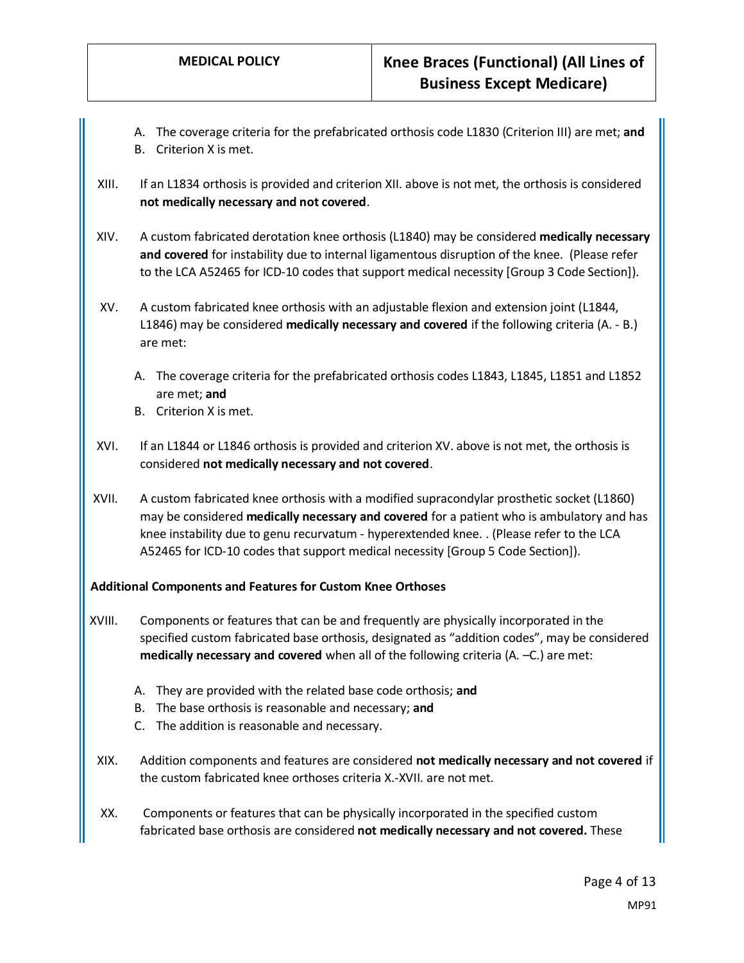- A. The coverage criteria for the prefabricated orthosis code L1830 (Criterion III) are met; **and**
- B. Criterion X is met.
- XIII. If an L1834 orthosis is provided and criterion XII. above is not met, the orthosis is considered **not medically necessary and not covered**.
- XIV. A custom fabricated derotation knee orthosis (L1840) may be considered **medically necessary and covered** for instability due to internal ligamentous disruption of the knee. (Please refer to the LCA A52465 for ICD-10 codes that support medical necessity [Group 3 Code Section]).
- XV. A custom fabricated knee orthosis with an adjustable flexion and extension joint (L1844, L1846) may be considered **medically necessary and covered** if the following criteria (A. - B.) are met:
	- A. The coverage criteria for the prefabricated orthosis codes L1843, L1845, L1851 and L1852 are met; **and**
	- B. Criterion X is met.
- XVI. If an L1844 or L1846 orthosis is provided and criterion XV. above is not met, the orthosis is considered **not medically necessary and not covered**.
- XVII. A custom fabricated knee orthosis with a modified supracondylar prosthetic socket (L1860) may be considered **medically necessary and covered** for a patient who is ambulatory and has knee instability due to genu recurvatum - hyperextended knee. . (Please refer to the LCA A52465 for ICD-10 codes that support medical necessity [Group 5 Code Section]).

#### **Additional Components and Features for Custom Knee Orthoses**

- XVIII. Components or features that can be and frequently are physically incorporated in the specified custom fabricated base orthosis, designated as "addition codes", may be considered **medically necessary and covered** when all of the following criteria (A. –C.) are met:
	- A. They are provided with the related base code orthosis; **and**
	- B. The base orthosis is reasonable and necessary; **and**
	- C. The addition is reasonable and necessary.
- XIX. Addition components and features are considered **not medically necessary and not covered** if the custom fabricated knee orthoses criteria X.-XVII. are not met.
- XX. Components or features that can be physically incorporated in the specified custom fabricated base orthosis are considered **not medically necessary and not covered.** These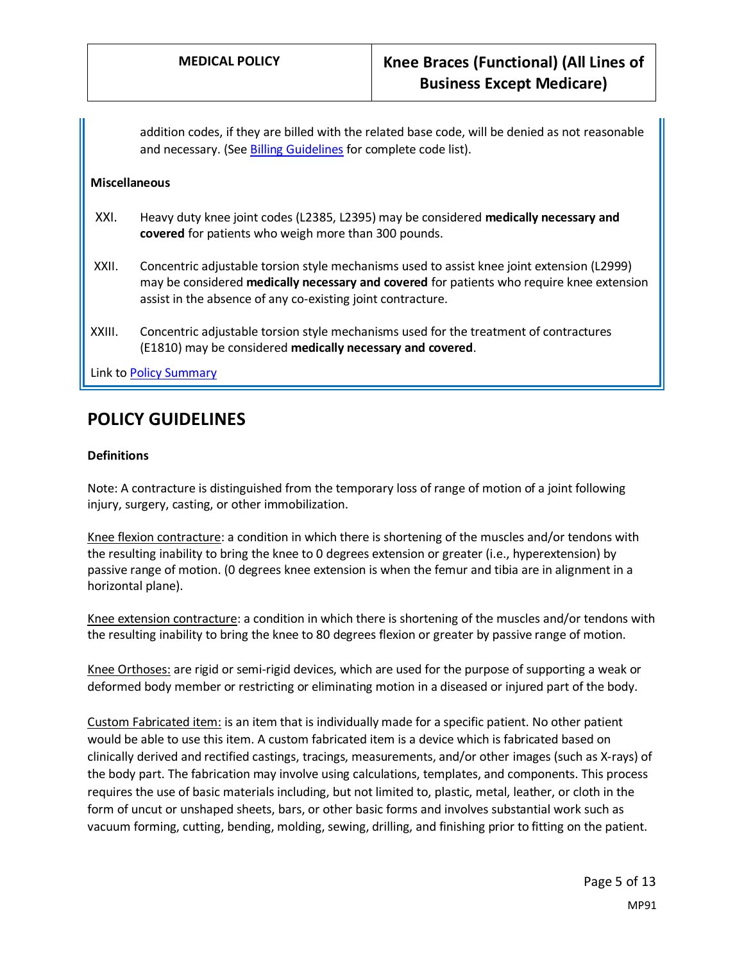addition codes, if they are billed with the related base code, will be denied as not reasonable and necessary. (Se[e Billing Guidelines](#page-8-0) for complete code list).

#### **Miscellaneous**

- XXI. Heavy duty knee joint codes (L2385, L2395) may be considered **medically necessary and covered** for patients who weigh more than 300 pounds.
- XXII. Concentric adjustable torsion style mechanisms used to assist knee joint extension (L2999) may be considered **medically necessary and covered** for patients who require knee extension assist in the absence of any co-existing joint contracture.
- XXIII. Concentric adjustable torsion style mechanisms used for the treatment of contractures (E1810) may be considered **medically necessary and covered**.

Link to Policy Summary

## <span id="page-4-0"></span>**POLICY GUIDELINES**

#### **Definitions**

Note: A contracture is distinguished from the temporary loss of range of motion of a joint following injury, surgery, casting, or other immobilization.

Knee flexion contracture: a condition in which there is shortening of the muscles and/or tendons with the resulting inability to bring the knee to 0 degrees extension or greater (i.e., hyperextension) by passive range of motion. (0 degrees knee extension is when the femur and tibia are in alignment in a horizontal plane).

Knee extension contracture: a condition in which there is shortening of the muscles and/or tendons with the resulting inability to bring the knee to 80 degrees flexion or greater by passive range of motion.

Knee Orthoses: are rigid or semi-rigid devices, which are used for the purpose of supporting a weak or deformed body member or restricting or eliminating motion in a diseased or injured part of the body.

Custom Fabricated item: is an item that is individually made for a specific patient. No other patient would be able to use this item. A custom fabricated item is a device which is fabricated based on clinically derived and rectified castings, tracings, measurements, and/or other images (such as X-rays) of the body part. The fabrication may involve using calculations, templates, and components. This process requires the use of basic materials including, but not limited to, plastic, metal, leather, or cloth in the form of uncut or unshaped sheets, bars, or other basic forms and involves substantial work such as vacuum forming, cutting, bending, molding, sewing, drilling, and finishing prior to fitting on the patient.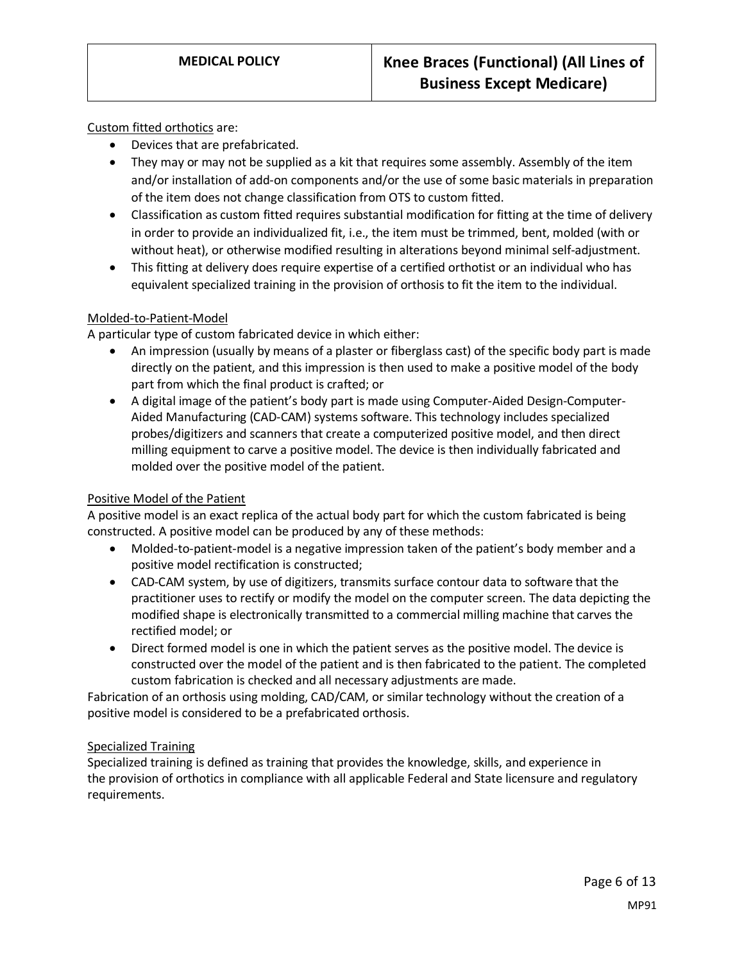#### Custom fitted orthotics are:

- Devices that are prefabricated.
- They may or may not be supplied as a kit that requires some assembly. Assembly of the item and/or installation of add-on components and/or the use of some basic materials in preparation of the item does not change classification from OTS to custom fitted.
- Classification as custom fitted requires substantial modification for fitting at the time of delivery in order to provide an individualized fit, i.e., the item must be trimmed, bent, molded (with or without heat), or otherwise modified resulting in alterations beyond minimal self-adjustment.
- This fitting at delivery does require expertise of a certified orthotist or an individual who has equivalent specialized training in the provision of orthosis to fit the item to the individual.

#### Molded-to-Patient-Model

A particular type of custom fabricated device in which either:

- An impression (usually by means of a plaster or fiberglass cast) of the specific body part is made directly on the patient, and this impression is then used to make a positive model of the body part from which the final product is crafted; or
- A digital image of the patient's body part is made using Computer-Aided Design-Computer-Aided Manufacturing (CAD-CAM) systems software. This technology includes specialized probes/digitizers and scanners that create a computerized positive model, and then direct milling equipment to carve a positive model. The device is then individually fabricated and molded over the positive model of the patient.

#### Positive Model of the Patient

A positive model is an exact replica of the actual body part for which the custom fabricated is being constructed. A positive model can be produced by any of these methods:

- Molded-to-patient-model is a negative impression taken of the patient's body member and a positive model rectification is constructed;
- CAD-CAM system, by use of digitizers, transmits surface contour data to software that the practitioner uses to rectify or modify the model on the computer screen. The data depicting the modified shape is electronically transmitted to a commercial milling machine that carves the rectified model; or
- Direct formed model is one in which the patient serves as the positive model. The device is constructed over the model of the patient and is then fabricated to the patient. The completed custom fabrication is checked and all necessary adjustments are made.

Fabrication of an orthosis using molding, CAD/CAM, or similar technology without the creation of a positive model is considered to be a prefabricated orthosis.

#### Specialized Training

Specialized training is defined as training that provides the knowledge, skills, and experience in the provision of orthotics in compliance with all applicable Federal and State licensure and regulatory requirements.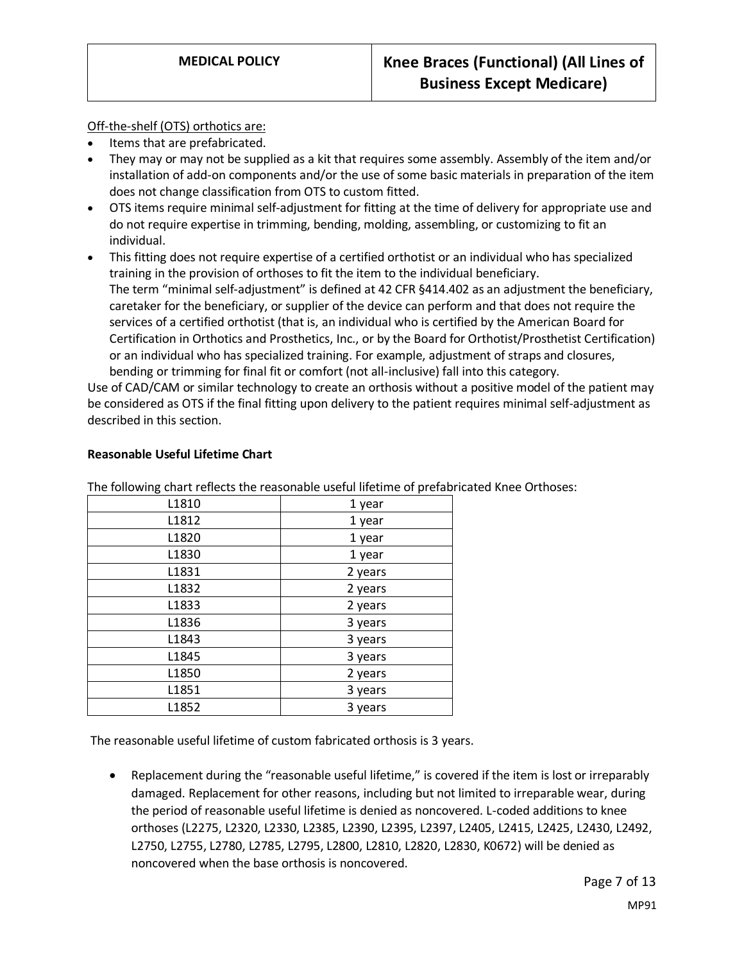#### Off-the-shelf (OTS) orthotics are:

- Items that are prefabricated.
- They may or may not be supplied as a kit that requires some assembly. Assembly of the item and/or installation of add-on components and/or the use of some basic materials in preparation of the item does not change classification from OTS to custom fitted.
- OTS items require minimal self-adjustment for fitting at the time of delivery for appropriate use and do not require expertise in trimming, bending, molding, assembling, or customizing to fit an individual.
- This fitting does not require expertise of a certified orthotist or an individual who has specialized training in the provision of orthoses to fit the item to the individual beneficiary. The term "minimal self-adjustment" is defined at 42 CFR §414.402 as an adjustment the beneficiary, caretaker for the beneficiary, or supplier of the device can perform and that does not require the services of a certified orthotist (that is, an individual who is certified by the American Board for Certification in Orthotics and Prosthetics, Inc., or by the Board for Orthotist/Prosthetist Certification) or an individual who has specialized training. For example, adjustment of straps and closures, bending or trimming for final fit or comfort (not all-inclusive) fall into this category.

Use of CAD/CAM or similar technology to create an orthosis without a positive model of the patient may be considered as OTS if the final fitting upon delivery to the patient requires minimal self-adjustment as described in this section.

| The following chart reflects the reasonable useful inetime or prefat |         |
|----------------------------------------------------------------------|---------|
| L1810                                                                | 1 year  |
| L1812                                                                | 1 year  |
| L <sub>1820</sub>                                                    | 1 year  |
| L1830                                                                | 1 year  |
| L1831                                                                | 2 years |
| L1832                                                                | 2 years |
| L1833                                                                | 2 years |
| L <sub>1836</sub>                                                    | 3 years |
| L1843                                                                | 3 years |
| L1845                                                                | 3 years |
| L1850                                                                | 2 years |
| L1851                                                                | 3 years |
| L1852                                                                | 3 years |
|                                                                      |         |

#### **Reasonable Useful Lifetime Chart**

The following chart reflects the reasonable useful lifetime of prefabricated Knee Orthoses:

The reasonable useful lifetime of custom fabricated orthosis is 3 years.

• Replacement during the "reasonable useful lifetime," is covered if the item is lost or irreparably damaged. Replacement for other reasons, including but not limited to irreparable wear, during the period of reasonable useful lifetime is denied as noncovered. L-coded additions to knee orthoses (L2275, L2320, L2330, L2385, L2390, L2395, L2397, L2405, L2415, L2425, L2430, L2492, L2750, L2755, L2780, L2785, L2795, L2800, L2810, L2820, L2830, K0672) will be denied as noncovered when the base orthosis is noncovered.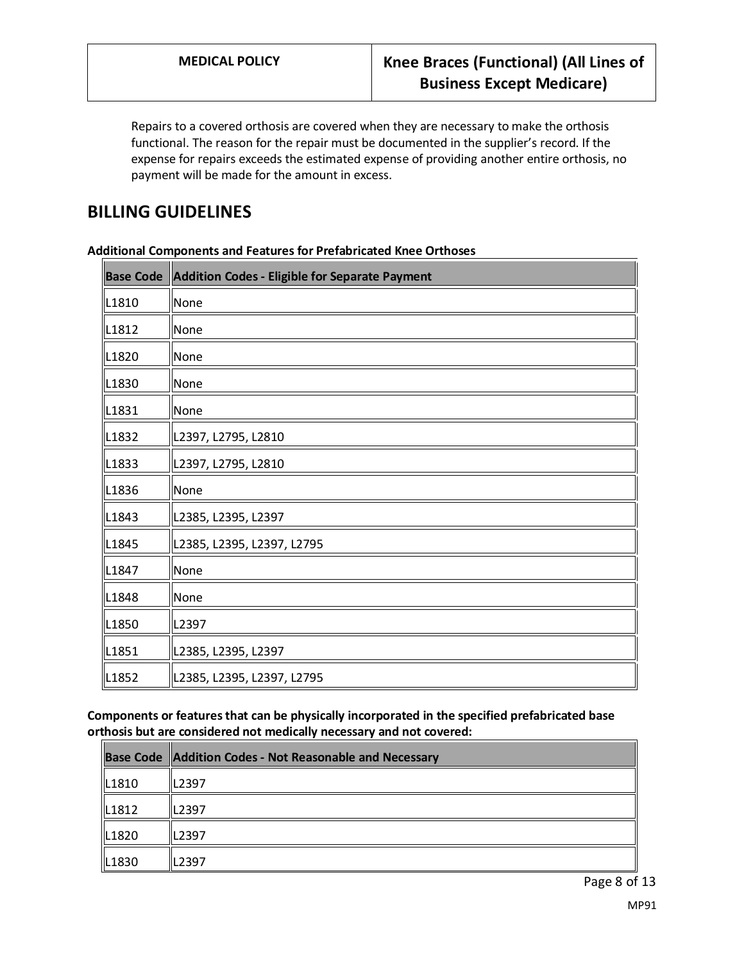Repairs to a covered orthosis are covered when they are necessary to make the orthosis functional. The reason for the repair must be documented in the supplier's record. If the expense for repairs exceeds the estimated expense of providing another entire orthosis, no payment will be made for the amount in excess.

## **BILLING GUIDELINES**

|                   | <b>Base Code   Addition Codes - Eligible for Separate Payment</b> |
|-------------------|-------------------------------------------------------------------|
| L1810             | None                                                              |
| L <sub>1812</sub> | None                                                              |
| L1820             | None                                                              |
| L1830             | None                                                              |
| L1831             | None                                                              |
| L1832             | L2397, L2795, L2810                                               |
| L1833             | L2397, L2795, L2810                                               |
| L1836             | None                                                              |
| L1843             | L2385, L2395, L2397                                               |
| L <sub>1845</sub> | L2385, L2395, L2397, L2795                                        |
| L1847             | None                                                              |
| L1848             | None                                                              |
| L1850             | L2397                                                             |
| L1851             | L2385, L2395, L2397                                               |
| L1852             | L2385, L2395, L2397, L2795                                        |

**Additional Components and Features for Prefabricated Knee Orthoses**

<span id="page-7-0"></span>**Components or features that can be physically incorporated in the specified prefabricated base orthosis but are considered not medically necessary and not covered:**

|       | <b>Base Code   Addition Codes - Not Reasonable and Necessary</b> |
|-------|------------------------------------------------------------------|
| L1810 | L2397                                                            |
| L1812 | L2397                                                            |
| L1820 | L2397                                                            |
| L1830 | L2397                                                            |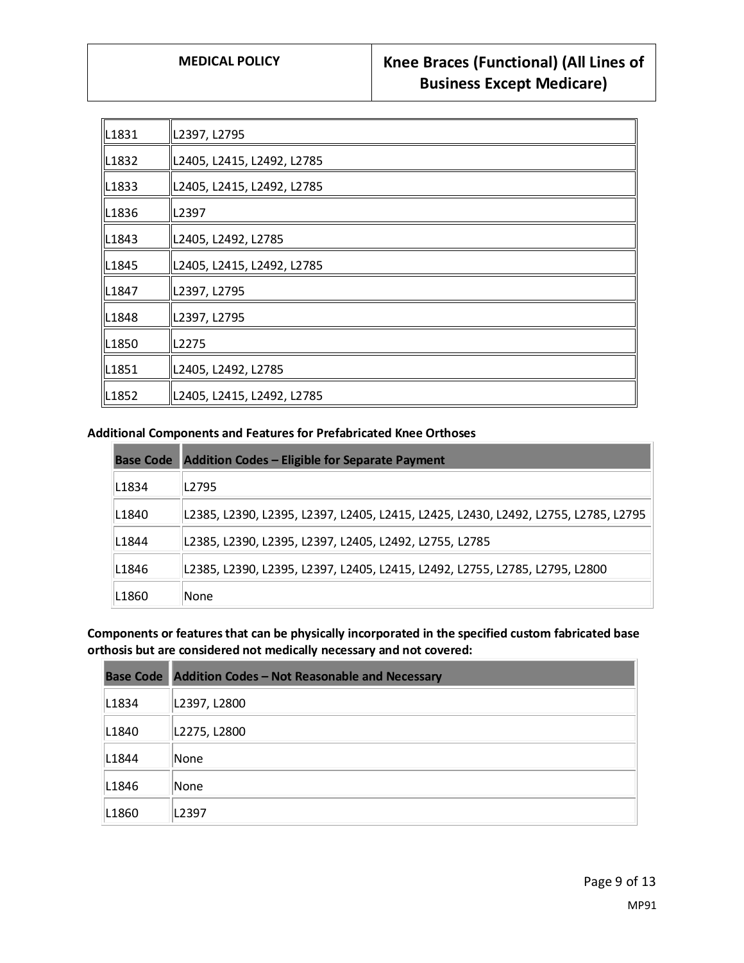| L1831             | L2397, L2795               |
|-------------------|----------------------------|
| L <sub>1832</sub> | L2405, L2415, L2492, L2785 |
| L1833             | L2405, L2415, L2492, L2785 |
| L1836             | L2397                      |
| L1843             | L2405, L2492, L2785        |
| L <sub>1845</sub> | L2405, L2415, L2492, L2785 |
| L1847             | L2397, L2795               |
| L1848             | L2397, L2795               |
| L <sub>1850</sub> | L2275                      |
| L1851             | L2405, L2492, L2785        |
| L1852             | L2405, L2415, L2492, L2785 |

#### **Additional Components and Features for Prefabricated Knee Orthoses**

|       | <b>Base Code</b> Addition Codes – Eligible for Separate Payment                    |
|-------|------------------------------------------------------------------------------------|
| L1834 | L2795                                                                              |
| L1840 | L2385, L2390, L2395, L2397, L2405, L2415, L2425, L2430, L2492, L2755, L2785, L2795 |
| L1844 | L2385, L2390, L2395, L2397, L2405, L2492, L2755, L2785                             |
| L1846 | L2385, L2390, L2395, L2397, L2405, L2415, L2492, L2755, L2785, L2795, L2800        |
| L1860 | None                                                                               |

<span id="page-8-0"></span>**Components or features that can be physically incorporated in the specified custom fabricated base orthosis but are considered not medically necessary and not covered:**

|                   | <b>Base Code</b> Addition Codes - Not Reasonable and Necessary |
|-------------------|----------------------------------------------------------------|
| L1834             | L2397, L2800                                                   |
| L <sub>1840</sub> | L2275, L2800                                                   |
| L <sub>1844</sub> | None                                                           |
| L <sub>1846</sub> | None                                                           |
| L1860             | L2397                                                          |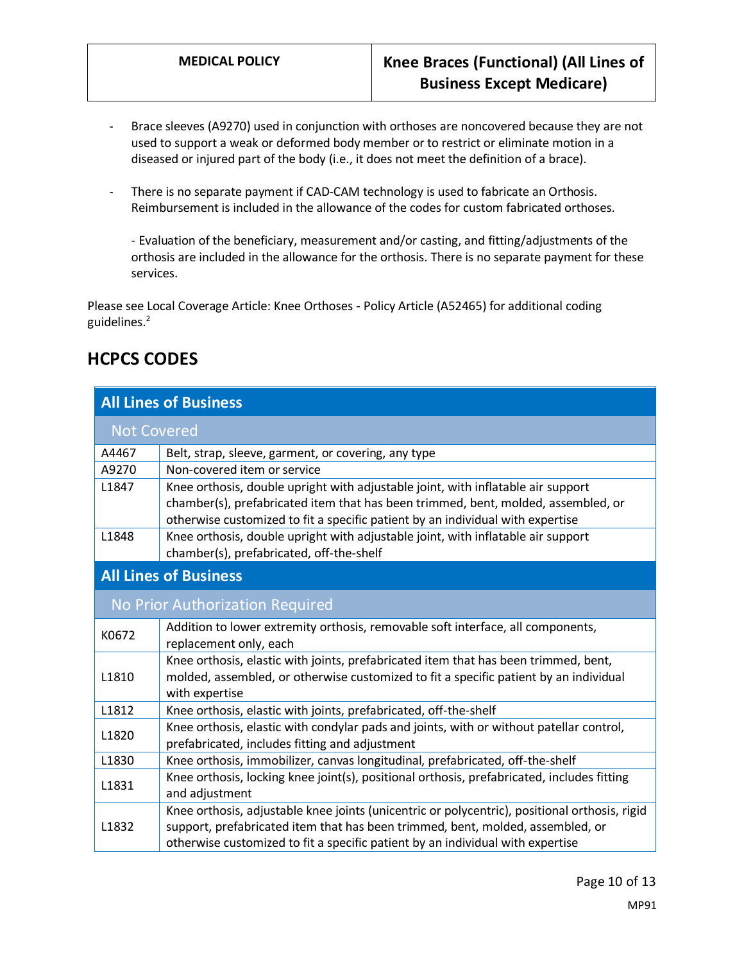- Brace sleeves (A9270) used in conjunction with orthoses are noncovered because they are not used to support a weak or deformed body member or to restrict or eliminate motion in a diseased or injured part of the body (i.e., it does not meet the definition of a brace).
- There is no separate payment if CAD-CAM technology is used to fabricate an Orthosis. Reimbursement is included in the allowance of the codes for custom fabricated orthoses.

- Evaluation of the beneficiary, measurement and/or casting, and fitting/adjustments of the orthosis are included in the allowance for the orthosis. There is no separate payment for these services.

Please see Local Coverage Article: Knee Orthoses - Policy Article (A52465) for additional coding guidelines. 2

# **HCPCS CODES**

| <b>All Lines of Business</b>    |                                                                                                                                                                                                                                                                   |
|---------------------------------|-------------------------------------------------------------------------------------------------------------------------------------------------------------------------------------------------------------------------------------------------------------------|
| <b>Not Covered</b>              |                                                                                                                                                                                                                                                                   |
| A4467                           | Belt, strap, sleeve, garment, or covering, any type                                                                                                                                                                                                               |
| A9270                           | Non-covered item or service                                                                                                                                                                                                                                       |
| L1847                           | Knee orthosis, double upright with adjustable joint, with inflatable air support<br>chamber(s), prefabricated item that has been trimmed, bent, molded, assembled, or<br>otherwise customized to fit a specific patient by an individual with expertise           |
| L1848                           | Knee orthosis, double upright with adjustable joint, with inflatable air support<br>chamber(s), prefabricated, off-the-shelf                                                                                                                                      |
| <b>All Lines of Business</b>    |                                                                                                                                                                                                                                                                   |
| No Prior Authorization Required |                                                                                                                                                                                                                                                                   |
| K0672                           | Addition to lower extremity orthosis, removable soft interface, all components,<br>replacement only, each                                                                                                                                                         |
| L1810                           | Knee orthosis, elastic with joints, prefabricated item that has been trimmed, bent,<br>molded, assembled, or otherwise customized to fit a specific patient by an individual<br>with expertise                                                                    |
| L1812                           | Knee orthosis, elastic with joints, prefabricated, off-the-shelf                                                                                                                                                                                                  |
| L1820                           | Knee orthosis, elastic with condylar pads and joints, with or without patellar control,<br>prefabricated, includes fitting and adjustment                                                                                                                         |
| L1830                           | Knee orthosis, immobilizer, canvas longitudinal, prefabricated, off-the-shelf                                                                                                                                                                                     |
| L1831                           | Knee orthosis, locking knee joint(s), positional orthosis, prefabricated, includes fitting<br>and adjustment                                                                                                                                                      |
| L1832                           | Knee orthosis, adjustable knee joints (unicentric or polycentric), positional orthosis, rigid<br>support, prefabricated item that has been trimmed, bent, molded, assembled, or<br>otherwise customized to fit a specific patient by an individual with expertise |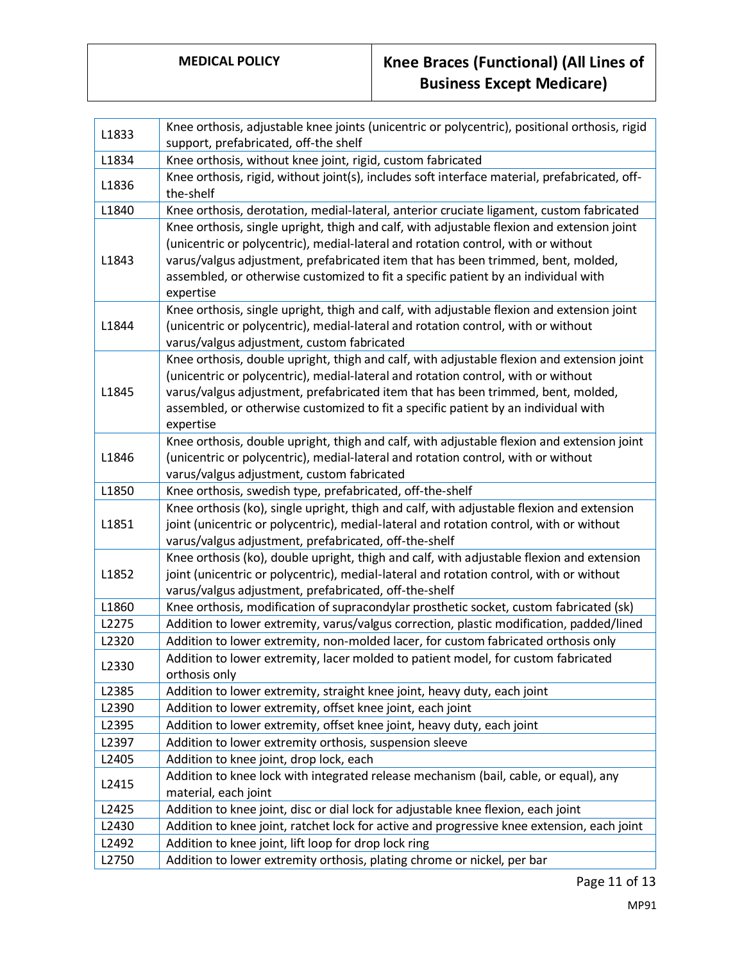# **MEDICAL POLICY Knee Braces (Functional) (All Lines of Business Except Medicare)**

| L1833 | Knee orthosis, adjustable knee joints (unicentric or polycentric), positional orthosis, rigid<br>support, prefabricated, off-the shelf                                                                                                                                                                                                                                 |
|-------|------------------------------------------------------------------------------------------------------------------------------------------------------------------------------------------------------------------------------------------------------------------------------------------------------------------------------------------------------------------------|
| L1834 | Knee orthosis, without knee joint, rigid, custom fabricated                                                                                                                                                                                                                                                                                                            |
| L1836 | Knee orthosis, rigid, without joint(s), includes soft interface material, prefabricated, off-<br>the-shelf                                                                                                                                                                                                                                                             |
| L1840 | Knee orthosis, derotation, medial-lateral, anterior cruciate ligament, custom fabricated                                                                                                                                                                                                                                                                               |
| L1843 | Knee orthosis, single upright, thigh and calf, with adjustable flexion and extension joint<br>(unicentric or polycentric), medial-lateral and rotation control, with or without<br>varus/valgus adjustment, prefabricated item that has been trimmed, bent, molded,<br>assembled, or otherwise customized to fit a specific patient by an individual with<br>expertise |
| L1844 | Knee orthosis, single upright, thigh and calf, with adjustable flexion and extension joint<br>(unicentric or polycentric), medial-lateral and rotation control, with or without<br>varus/valgus adjustment, custom fabricated                                                                                                                                          |
| L1845 | Knee orthosis, double upright, thigh and calf, with adjustable flexion and extension joint<br>(unicentric or polycentric), medial-lateral and rotation control, with or without<br>varus/valgus adjustment, prefabricated item that has been trimmed, bent, molded,<br>assembled, or otherwise customized to fit a specific patient by an individual with<br>expertise |
| L1846 | Knee orthosis, double upright, thigh and calf, with adjustable flexion and extension joint<br>(unicentric or polycentric), medial-lateral and rotation control, with or without<br>varus/valgus adjustment, custom fabricated                                                                                                                                          |
| L1850 | Knee orthosis, swedish type, prefabricated, off-the-shelf                                                                                                                                                                                                                                                                                                              |
| L1851 | Knee orthosis (ko), single upright, thigh and calf, with adjustable flexion and extension<br>joint (unicentric or polycentric), medial-lateral and rotation control, with or without<br>varus/valgus adjustment, prefabricated, off-the-shelf                                                                                                                          |
| L1852 | Knee orthosis (ko), double upright, thigh and calf, with adjustable flexion and extension<br>joint (unicentric or polycentric), medial-lateral and rotation control, with or without<br>varus/valgus adjustment, prefabricated, off-the-shelf                                                                                                                          |
| L1860 | Knee orthosis, modification of supracondylar prosthetic socket, custom fabricated (sk)                                                                                                                                                                                                                                                                                 |
| L2275 | Addition to lower extremity, varus/valgus correction, plastic modification, padded/lined                                                                                                                                                                                                                                                                               |
| L2320 | Addition to lower extremity, non-molded lacer, for custom fabricated orthosis only                                                                                                                                                                                                                                                                                     |
| L2330 | Addition to lower extremity, lacer molded to patient model, for custom fabricated<br>orthosis only                                                                                                                                                                                                                                                                     |
| L2385 | Addition to lower extremity, straight knee joint, heavy duty, each joint                                                                                                                                                                                                                                                                                               |
| L2390 | Addition to lower extremity, offset knee joint, each joint                                                                                                                                                                                                                                                                                                             |
| L2395 | Addition to lower extremity, offset knee joint, heavy duty, each joint                                                                                                                                                                                                                                                                                                 |
| L2397 | Addition to lower extremity orthosis, suspension sleeve                                                                                                                                                                                                                                                                                                                |
| L2405 | Addition to knee joint, drop lock, each                                                                                                                                                                                                                                                                                                                                |
| L2415 | Addition to knee lock with integrated release mechanism (bail, cable, or equal), any<br>material, each joint                                                                                                                                                                                                                                                           |
| L2425 | Addition to knee joint, disc or dial lock for adjustable knee flexion, each joint                                                                                                                                                                                                                                                                                      |
| L2430 | Addition to knee joint, ratchet lock for active and progressive knee extension, each joint                                                                                                                                                                                                                                                                             |
| L2492 | Addition to knee joint, lift loop for drop lock ring                                                                                                                                                                                                                                                                                                                   |
| L2750 | Addition to lower extremity orthosis, plating chrome or nickel, per bar                                                                                                                                                                                                                                                                                                |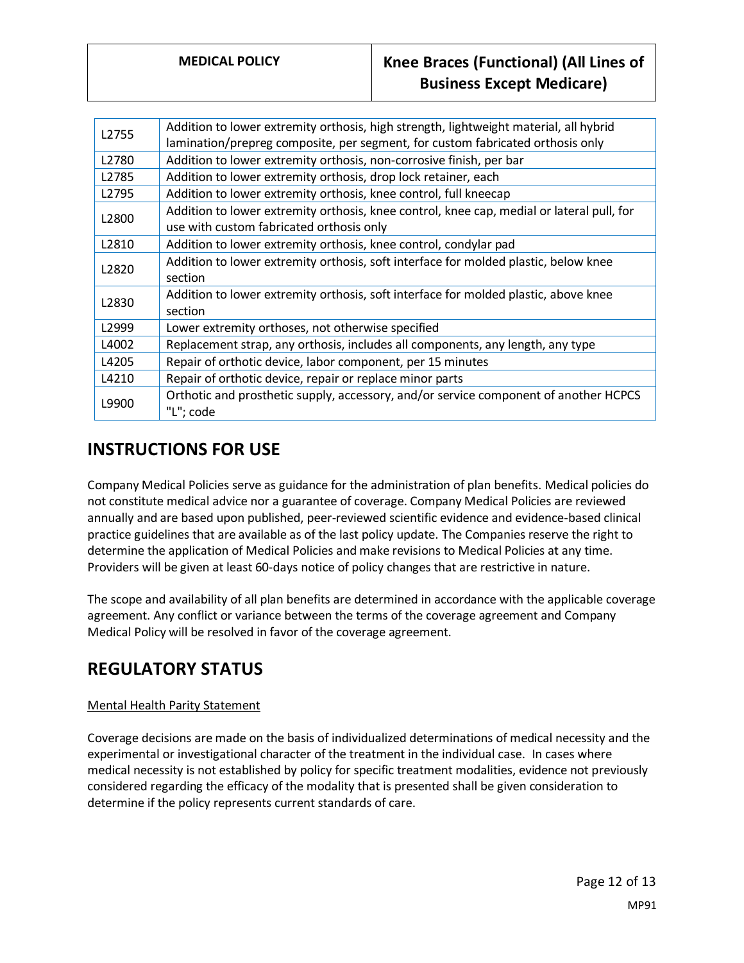# **MEDICAL POLICY Knee Braces (Functional) (All Lines of Business Except Medicare)**

| L2755 | Addition to lower extremity orthosis, high strength, lightweight material, all hybrid<br>lamination/prepreg composite, per segment, for custom fabricated orthosis only |
|-------|-------------------------------------------------------------------------------------------------------------------------------------------------------------------------|
| L2780 | Addition to lower extremity orthosis, non-corrosive finish, per bar                                                                                                     |
| L2785 | Addition to lower extremity orthosis, drop lock retainer, each                                                                                                          |
| L2795 | Addition to lower extremity orthosis, knee control, full kneecap                                                                                                        |
| L2800 | Addition to lower extremity orthosis, knee control, knee cap, medial or lateral pull, for<br>use with custom fabricated orthosis only                                   |
| L2810 | Addition to lower extremity orthosis, knee control, condylar pad                                                                                                        |
| L2820 | Addition to lower extremity orthosis, soft interface for molded plastic, below knee<br>section                                                                          |
| L2830 | Addition to lower extremity orthosis, soft interface for molded plastic, above knee<br>section                                                                          |
| L2999 | Lower extremity orthoses, not otherwise specified                                                                                                                       |
| L4002 | Replacement strap, any orthosis, includes all components, any length, any type                                                                                          |
| L4205 | Repair of orthotic device, labor component, per 15 minutes                                                                                                              |
| L4210 | Repair of orthotic device, repair or replace minor parts                                                                                                                |
| L9900 | Orthotic and prosthetic supply, accessory, and/or service component of another HCPCS<br>"L"; code                                                                       |

# **INSTRUCTIONS FOR USE**

Company Medical Policies serve as guidance for the administration of plan benefits. Medical policies do not constitute medical advice nor a guarantee of coverage. Company Medical Policies are reviewed annually and are based upon published, peer-reviewed scientific evidence and evidence-based clinical practice guidelines that are available as of the last policy update. The Companies reserve the right to determine the application of Medical Policies and make revisions to Medical Policies at any time. Providers will be given at least 60-days notice of policy changes that are restrictive in nature.

The scope and availability of all plan benefits are determined in accordance with the applicable coverage agreement. Any conflict or variance between the terms of the coverage agreement and Company Medical Policy will be resolved in favor of the coverage agreement.

# **REGULATORY STATUS**

### Mental Health Parity Statement

Coverage decisions are made on the basis of individualized determinations of medical necessity and the experimental or investigational character of the treatment in the individual case. In cases where medical necessity is not established by policy for specific treatment modalities, evidence not previously considered regarding the efficacy of the modality that is presented shall be given consideration to determine if the policy represents current standards of care.